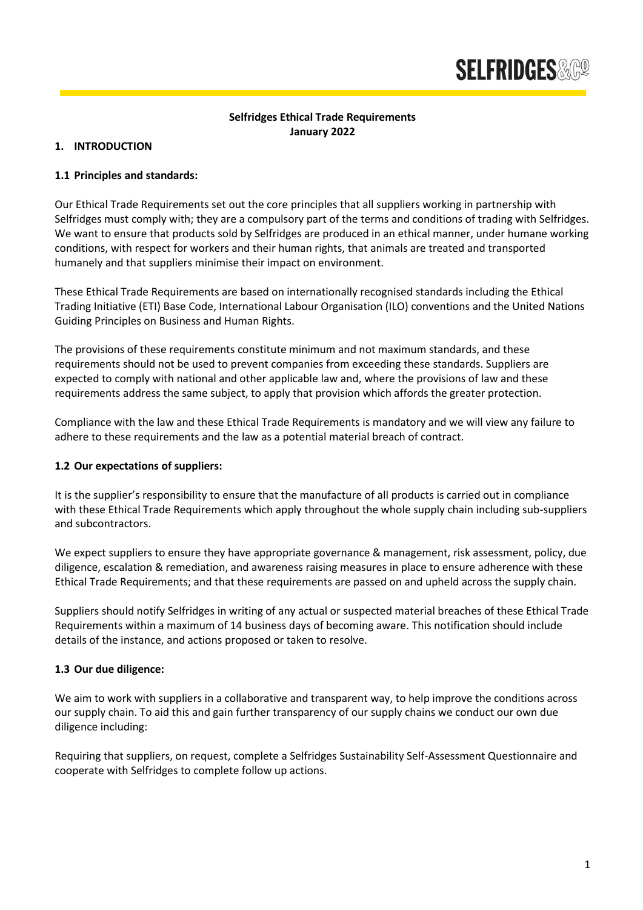# **SELFRIDGES&**

## **Selfridges Ethical Trade Requirements January 2022**

#### **1. INTRODUCTION**

#### **1.1 Principles and standards:**

Our Ethical Trade Requirements set out the core principles that all suppliers working in partnership with Selfridges must comply with; they are a compulsory part of the terms and conditions of trading with Selfridges. We want to ensure that products sold by Selfridges are produced in an ethical manner, under humane working conditions, with respect for workers and their human rights, that animals are treated and transported humanely and that suppliers minimise their impact on environment.

These Ethical Trade Requirements are based on internationally recognised standards including the Ethical Trading Initiative (ETI) Base Code, International Labour Organisation (ILO) conventions and the United Nations Guiding Principles on Business and Human Rights.

The provisions of these requirements constitute minimum and not maximum standards, and these requirements should not be used to prevent companies from exceeding these standards. Suppliers are expected to comply with national and other applicable law and, where the provisions of law and these requirements address the same subject, to apply that provision which affords the greater protection.

Compliance with the law and these Ethical Trade Requirements is mandatory and we will view any failure to adhere to these requirements and the law as a potential material breach of contract.

#### **1.2 Our expectations of suppliers:**

It is the supplier's responsibility to ensure that the manufacture of all products is carried out in compliance with these Ethical Trade Requirements which apply throughout the whole supply chain including sub-suppliers and subcontractors.

We expect suppliers to ensure they have appropriate governance & management, risk assessment, policy, due diligence, escalation & remediation, and awareness raising measures in place to ensure adherence with these Ethical Trade Requirements; and that these requirements are passed on and upheld across the supply chain.

Suppliers should notify Selfridges in writing of any actual or suspected material breaches of these Ethical Trade Requirements within a maximum of 14 business days of becoming aware. This notification should include details of the instance, and actions proposed or taken to resolve.

#### **1.3 Our due diligence:**

We aim to work with suppliers in a collaborative and transparent way, to help improve the conditions across our supply chain. To aid this and gain further transparency of our supply chains we conduct our own due diligence including:

Requiring that suppliers, on request, complete a Selfridges Sustainability Self-Assessment Questionnaire and cooperate with Selfridges to complete follow up actions.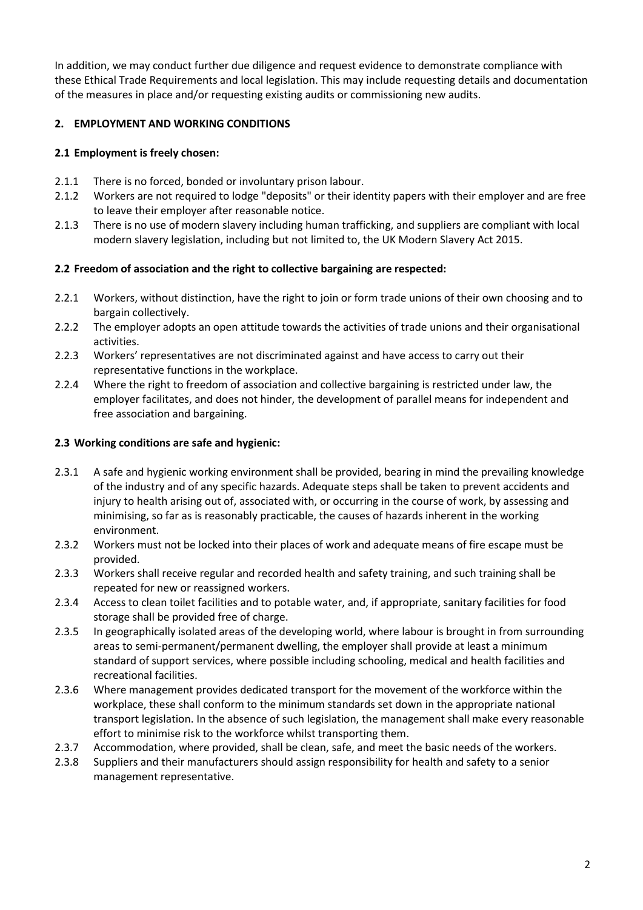In addition, we may conduct further due diligence and request evidence to demonstrate compliance with these Ethical Trade Requirements and local legislation. This may include requesting details and documentation of the measures in place and/or requesting existing audits or commissioning new audits.

# **2. EMPLOYMENT AND WORKING CONDITIONS**

# **2.1 Employment is freely chosen:**

- 2.1.1 There is no forced, bonded or involuntary prison labour.
- 2.1.2 Workers are not required to lodge "deposits" or their identity papers with their employer and are free to leave their employer after reasonable notice.
- 2.1.3 There is no use of modern slavery including human trafficking, and suppliers are compliant with local modern slavery legislation, including but not limited to, the UK Modern Slavery Act 2015.

# **2.2 Freedom of association and the right to collective bargaining are respected:**

- 2.2.1 Workers, without distinction, have the right to join or form trade unions of their own choosing and to bargain collectively.
- 2.2.2 The employer adopts an open attitude towards the activities of trade unions and their organisational activities.
- 2.2.3 Workers' representatives are not discriminated against and have access to carry out their representative functions in the workplace.
- 2.2.4 Where the right to freedom of association and collective bargaining is restricted under law, the employer facilitates, and does not hinder, the development of parallel means for independent and free association and bargaining.

# **2.3 Working conditions are safe and hygienic:**

- 2.3.1 A safe and hygienic working environment shall be provided, bearing in mind the prevailing knowledge of the industry and of any specific hazards. Adequate steps shall be taken to prevent accidents and injury to health arising out of, associated with, or occurring in the course of work, by assessing and minimising, so far as is reasonably practicable, the causes of hazards inherent in the working environment.
- 2.3.2 Workers must not be locked into their places of work and adequate means of fire escape must be provided.
- 2.3.3 Workers shall receive regular and recorded health and safety training, and such training shall be repeated for new or reassigned workers.
- 2.3.4 Access to clean toilet facilities and to potable water, and, if appropriate, sanitary facilities for food storage shall be provided free of charge.
- 2.3.5 In geographically isolated areas of the developing world, where labour is brought in from surrounding areas to semi-permanent/permanent dwelling, the employer shall provide at least a minimum standard of support services, where possible including schooling, medical and health facilities and recreational facilities.
- 2.3.6 Where management provides dedicated transport for the movement of the workforce within the workplace, these shall conform to the minimum standards set down in the appropriate national transport legislation. In the absence of such legislation, the management shall make every reasonable effort to minimise risk to the workforce whilst transporting them.
- 2.3.7 Accommodation, where provided, shall be clean, safe, and meet the basic needs of the workers.
- 2.3.8 Suppliers and their manufacturers should assign responsibility for health and safety to a senior management representative.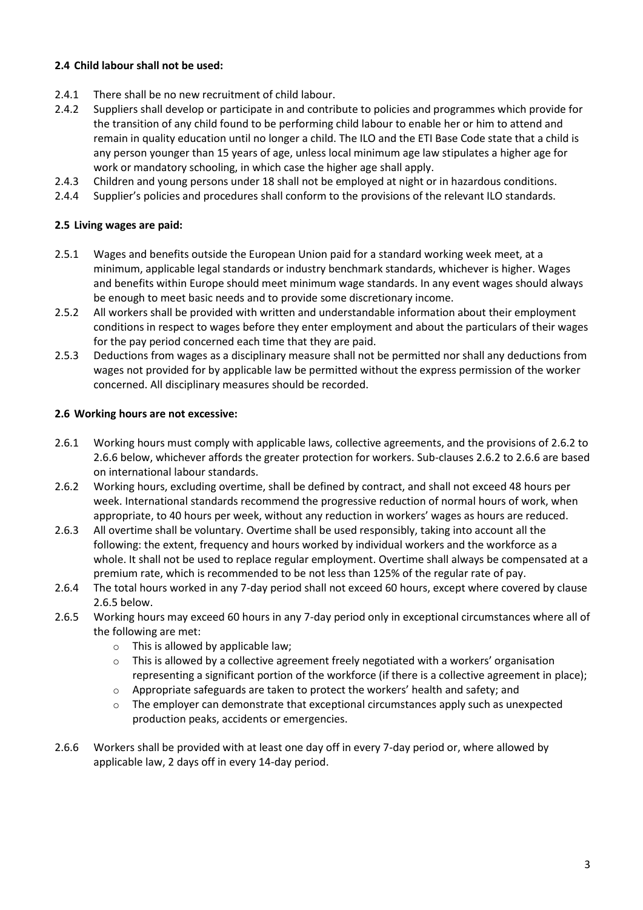## **2.4 Child labour shall not be used:**

- 2.4.1 There shall be no new recruitment of child labour.
- 2.4.2 Suppliers shall develop or participate in and contribute to policies and programmes which provide for the transition of any child found to be performing child labour to enable her or him to attend and remain in quality education until no longer a child. The ILO and the ETI Base Code state that a child is any person younger than 15 years of age, unless local minimum age law stipulates a higher age for work or mandatory schooling, in which case the higher age shall apply.
- 2.4.3 Children and young persons under 18 shall not be employed at night or in hazardous conditions.
- 2.4.4 Supplier's policies and procedures shall conform to the provisions of the relevant ILO standards.

#### **2.5 Living wages are paid:**

- 2.5.1 Wages and benefits outside the European Union paid for a standard working week meet, at a minimum, applicable legal standards or industry benchmark standards, whichever is higher. Wages and benefits within Europe should meet minimum wage standards. In any event wages should always be enough to meet basic needs and to provide some discretionary income.
- 2.5.2 All workers shall be provided with written and understandable information about their employment conditions in respect to wages before they enter employment and about the particulars of their wages for the pay period concerned each time that they are paid.
- 2.5.3 Deductions from wages as a disciplinary measure shall not be permitted nor shall any deductions from wages not provided for by applicable law be permitted without the express permission of the worker concerned. All disciplinary measures should be recorded.

#### **2.6 Working hours are not excessive:**

- 2.6.1 Working hours must comply with applicable laws, collective agreements, and the provisions of 2.6.2 to 2.6.6 below, whichever affords the greater protection for workers. Sub-clauses 2.6.2 to 2.6.6 are based on international labour standards.
- 2.6.2 Working hours, excluding overtime, shall be defined by contract, and shall not exceed 48 hours per week. International standards recommend the progressive reduction of normal hours of work, when appropriate, to 40 hours per week, without any reduction in workers' wages as hours are reduced.
- 2.6.3 All overtime shall be voluntary. Overtime shall be used responsibly, taking into account all the following: the extent, frequency and hours worked by individual workers and the workforce as a whole. It shall not be used to replace regular employment. Overtime shall always be compensated at a premium rate, which is recommended to be not less than 125% of the regular rate of pay.
- 2.6.4 The total hours worked in any 7-day period shall not exceed 60 hours, except where covered by clause 2.6.5 below.
- 2.6.5 Working hours may exceed 60 hours in any 7-day period only in exceptional circumstances where all of the following are met:
	- $\circ$  This is allowed by applicable law;
	- o This is allowed by a collective agreement freely negotiated with a workers' organisation representing a significant portion of the workforce (if there is a collective agreement in place);
	- $\circ$  Appropriate safeguards are taken to protect the workers' health and safety; and
	- o The employer can demonstrate that exceptional circumstances apply such as unexpected production peaks, accidents or emergencies.
- 2.6.6 Workers shall be provided with at least one day off in every 7-day period or, where allowed by applicable law, 2 days off in every 14-day period.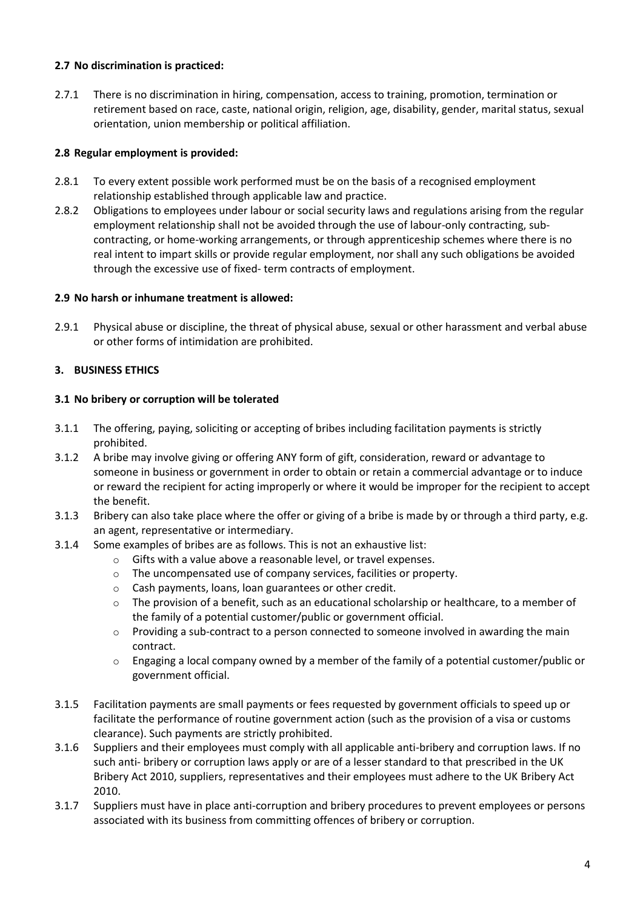### **2.7 No discrimination is practiced:**

2.7.1 There is no discrimination in hiring, compensation, access to training, promotion, termination or retirement based on race, caste, national origin, religion, age, disability, gender, marital status, sexual orientation, union membership or political affiliation.

# **2.8 Regular employment is provided:**

- 2.8.1 To every extent possible work performed must be on the basis of a recognised employment relationship established through applicable law and practice.
- 2.8.2 Obligations to employees under labour or social security laws and regulations arising from the regular employment relationship shall not be avoided through the use of labour-only contracting, subcontracting, or home-working arrangements, or through apprenticeship schemes where there is no real intent to impart skills or provide regular employment, nor shall any such obligations be avoided through the excessive use of fixed- term contracts of employment.

### **2.9 No harsh or inhumane treatment is allowed:**

2.9.1 Physical abuse or discipline, the threat of physical abuse, sexual or other harassment and verbal abuse or other forms of intimidation are prohibited.

# **3. BUSINESS ETHICS**

### **3.1 No bribery or corruption will be tolerated**

- 3.1.1 The offering, paying, soliciting or accepting of bribes including facilitation payments is strictly prohibited.
- 3.1.2 A bribe may involve giving or offering ANY form of gift, consideration, reward or advantage to someone in business or government in order to obtain or retain a commercial advantage or to induce or reward the recipient for acting improperly or where it would be improper for the recipient to accept the benefit.
- 3.1.3 Bribery can also take place where the offer or giving of a bribe is made by or through a third party, e.g. an agent, representative or intermediary.
- 3.1.4 Some examples of bribes are as follows. This is not an exhaustive list:
	- o Gifts with a value above a reasonable level, or travel expenses.
	- o The uncompensated use of company services, facilities or property.
	- o Cash payments, loans, loan guarantees or other credit.
	- $\circ$  The provision of a benefit, such as an educational scholarship or healthcare, to a member of the family of a potential customer/public or government official.
	- o Providing a sub-contract to a person connected to someone involved in awarding the main contract.
	- o Engaging a local company owned by a member of the family of a potential customer/public or government official.
- 3.1.5 Facilitation payments are small payments or fees requested by government officials to speed up or facilitate the performance of routine government action (such as the provision of a visa or customs clearance). Such payments are strictly prohibited.
- 3.1.6 Suppliers and their employees must comply with all applicable anti-bribery and corruption laws. If no such anti- bribery or corruption laws apply or are of a lesser standard to that prescribed in the UK Bribery Act 2010, suppliers, representatives and their employees must adhere to the UK Bribery Act 2010.
- 3.1.7 Suppliers must have in place anti-corruption and bribery procedures to prevent employees or persons associated with its business from committing offences of bribery or corruption.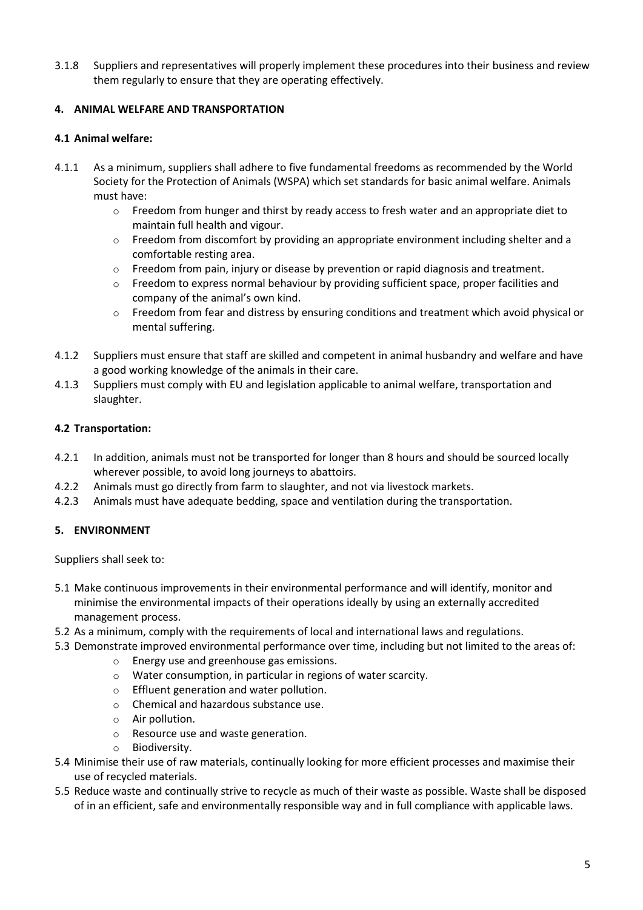3.1.8 Suppliers and representatives will properly implement these procedures into their business and review them regularly to ensure that they are operating effectively.

# **4. ANIMAL WELFARE AND TRANSPORTATION**

## **4.1 Animal welfare:**

- 4.1.1 As a minimum, suppliers shall adhere to five fundamental freedoms as recommended by the World Society for the Protection of Animals (WSPA) which set standards for basic animal welfare. Animals must have:
	- o Freedom from hunger and thirst by ready access to fresh water and an appropriate diet to maintain full health and vigour.
	- $\circ$  Freedom from discomfort by providing an appropriate environment including shelter and a comfortable resting area.
	- $\circ$  Freedom from pain, injury or disease by prevention or rapid diagnosis and treatment.
	- $\circ$  Freedom to express normal behaviour by providing sufficient space, proper facilities and company of the animal's own kind.
	- o Freedom from fear and distress by ensuring conditions and treatment which avoid physical or mental suffering.
- 4.1.2 Suppliers must ensure that staff are skilled and competent in animal husbandry and welfare and have a good working knowledge of the animals in their care.
- 4.1.3 Suppliers must comply with EU and legislation applicable to animal welfare, transportation and slaughter.

# **4.2 Transportation:**

- 4.2.1 In addition, animals must not be transported for longer than 8 hours and should be sourced locally wherever possible, to avoid long journeys to abattoirs.
- 4.2.2 Animals must go directly from farm to slaughter, and not via livestock markets.
- 4.2.3 Animals must have adequate bedding, space and ventilation during the transportation.

# **5. ENVIRONMENT**

Suppliers shall seek to:

- 5.1 Make continuous improvements in their environmental performance and will identify, monitor and minimise the environmental impacts of their operations ideally by using an externally accredited management process.
- 5.2 As a minimum, comply with the requirements of local and international laws and regulations.
- 5.3 Demonstrate improved environmental performance over time, including but not limited to the areas of:
	- o Energy use and greenhouse gas emissions.
	- o Water consumption, in particular in regions of water scarcity.
	- o Effluent generation and water pollution.
	- o Chemical and hazardous substance use.
	- o Air pollution.
	- o Resource use and waste generation.
	- o Biodiversity.
- 5.4 Minimise their use of raw materials, continually looking for more efficient processes and maximise their use of recycled materials.
- 5.5 Reduce waste and continually strive to recycle as much of their waste as possible. Waste shall be disposed of in an efficient, safe and environmentally responsible way and in full compliance with applicable laws.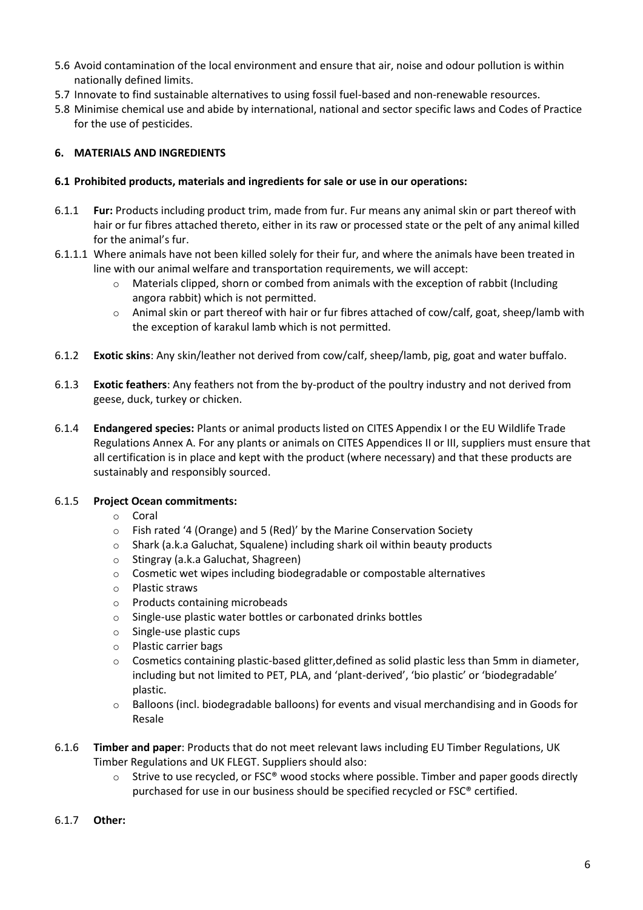- 5.6 Avoid contamination of the local environment and ensure that air, noise and odour pollution is within nationally defined limits.
- 5.7 Innovate to find sustainable alternatives to using fossil fuel-based and non-renewable resources.
- 5.8 Minimise chemical use and abide by international, national and sector specific laws and Codes of Practice for the use of pesticides.

#### **6. MATERIALS AND INGREDIENTS**

#### **6.1 Prohibited products, materials and ingredients for sale or use in our operations:**

- 6.1.1 **Fur:** Products including product trim, made from fur. Fur means any animal skin or part thereof with hair or fur fibres attached thereto, either in its raw or processed state or the pelt of any animal killed for the animal's fur.
- 6.1.1.1 Where animals have not been killed solely for their fur, and where the animals have been treated in line with our animal welfare and transportation requirements, we will accept:
	- $\circ$  Materials clipped, shorn or combed from animals with the exception of rabbit (Including angora rabbit) which is not permitted.
	- o Animal skin or part thereof with hair or fur fibres attached of cow/calf, goat, sheep/lamb with the exception of karakul lamb which is not permitted.
- 6.1.2 **Exotic skins**: Any skin/leather not derived from cow/calf, sheep/lamb, pig, goat and water buffalo.
- 6.1.3 **Exotic feathers**: Any feathers not from the by-product of the poultry industry and not derived from geese, duck, turkey or chicken.
- 6.1.4 **Endangered species:** Plants or animal products listed on CITES Appendix I or the EU Wildlife Trade Regulations Annex A. For any plants or animals on CITES Appendices II or III, suppliers must ensure that all certification is in place and kept with the product (where necessary) and that these products are sustainably and responsibly sourced.

#### 6.1.5 **Project Ocean commitments:**

- o Coral
- o Fish rated '4 (Orange) and 5 (Red)' by the Marine Conservation Society
- o Shark (a.k.a Galuchat, Squalene) including shark oil within beauty products
- o Stingray (a.k.a Galuchat, Shagreen)
- $\circ$  Cosmetic wet wipes including biodegradable or compostable alternatives
- o Plastic straws
- o Products containing microbeads
- o Single-use plastic water bottles or carbonated drinks bottles
- o Single-use plastic cups
- o Plastic carrier bags
- $\circ$  Cosmetics containing plastic-based glitter, defined as solid plastic less than 5mm in diameter, including but not limited to PET, PLA, and 'plant-derived', 'bio plastic' or 'biodegradable' plastic.
- $\circ$  Balloons (incl. biodegradable balloons) for events and visual merchandising and in Goods for Resale
- 6.1.6 **Timber and paper**: Products that do not meet relevant laws including EU Timber Regulations, UK Timber Regulations and UK FLEGT. Suppliers should also:
	- $\circ$  Strive to use recycled, or FSC<sup>®</sup> wood stocks where possible. Timber and paper goods directly purchased for use in our business should be specified recycled or FSC® certified.
- 6.1.7 **Other:**